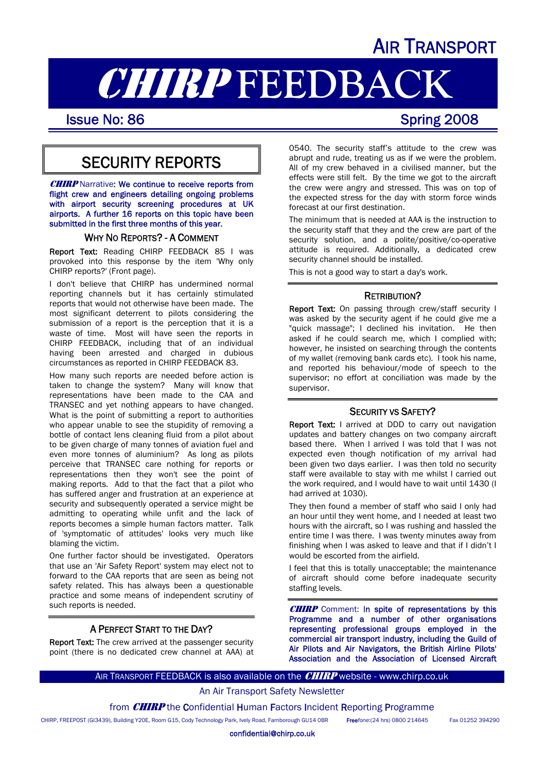## AIR TRANSPORT

# **CHIRP FEEDBACK**<br>Issue No: 86<br>Spring 2008

## SECURITY REPORTS

**CHIRP** Narrative: We continue to receive reports from flight crew and engineers detailing ongoing problems with airport security screening procedures at UK airports. A further 16 reports on this topic have been submitted in the first three months of this year.

#### WHY NO REPORTS? - A COMMENT

Report Text: Reading CHIRP FEEDBACK 85 I was provoked into this response by the item 'Why only CHIRP reports?' (Front page).

I don't believe that CHIRP has undermined normal reporting channels but it has certainly stimulated reports that would not otherwise have been made. The most significant deterrent to pilots considering the submission of a report is the perception that it is a waste of time. Most will have seen the reports in CHIRP FEEDBACK, including that of an individual having been arrested and charged in dubious circumstances as reported in CHIRP FEEDBACK 83.

How many such reports are needed before action is taken to change the system? Many will know that representations have been made to the CAA and TRANSEC and yet nothing appears to have changed. What is the point of submitting a report to authorities who appear unable to see the stupidity of removing a bottle of contact lens cleaning fluid from a pilot about to be given charge of many tonnes of aviation fuel and even more tonnes of aluminium? As long as pilots perceive that TRANSEC care nothing for reports or representations then they won't see the point of making reports. Add to that the fact that a pilot who has suffered anger and frustration at an experience at security and subsequently operated a service might be admitting to operating while unfit and the lack of reports becomes a simple human factors matter. Talk of 'symptomatic of attitudes' looks very much like blaming the victim.

One further factor should be investigated. Operators that use an 'Air Safety Report' system may elect not to forward to the CAA reports that are seen as being not safety related. This has always been a questionable practice and some means of independent scrutiny of such reports is needed.

#### A PERFECT START TO THE DAY?

Report Text: The crew arrived at the passenger security point (there is no dedicated crew channel at AAA) at 0540. The security staff's attitude to the crew was abrupt and rude, treating us as if we were the problem. All of my crew behaved in a civilised manner, but the effects were still felt. By the time we got to the aircraft the crew were angry and stressed. This was on top of the expected stress for the day with storm force winds forecast at our first destination.

The minimum that is needed at AAA is the instruction to the security staff that they and the crew are part of the security solution, and a polite/positive/co-operative attitude is required. Additionally, a dedicated crew security channel should be installed.

This is not a good way to start a day's work.

#### RETRIBUTION?

Report Text: On passing through crew/staff security I was asked by the security agent if he could give me a "quick massage"; I declined his invitation. He then asked if he could search me, which I complied with; however, he insisted on searching through the contents of my wallet (removing bank cards etc). I took his name, and reported his behaviour/mode of speech to the supervisor; no effort at conciliation was made by the supervisor.

#### SECURITY VS SAFETY?

Report Text: I arrived at DDD to carry out navigation updates and battery changes on two company aircraft based there. When I arrived I was told that I was not expected even though notification of my arrival had been given two days earlier. I was then told no security staff were available to stay with me whilst I carried out the work required, and I would have to wait until 1430 (I had arrived at 1030).

They then found a member of staff who said I only had an hour until they went home, and I needed at least two hours with the aircraft, so I was rushing and hassled the entire time I was there. I was twenty minutes away from finishing when I was asked to leave and that if I didn't I would be escorted from the airfield.

I feel that this is totally unacceptable; the maintenance of aircraft should come before inadequate security staffing levels.

**CHIRP** Comment: In spite of representations by this Programme and a number of other organisations representing professional groups employed in the commercial air transport industry, including the Guild of Air Pilots and Air Navigators, the British Airline Pilots' Association and the Association of Licensed Aircraft

AIR TRANSPORT FEEDBACK is also available on the  $CHIRP$  website - www.chirp.co.uk

#### An Air Transport Safety Newsletter

from **CHIRP** the Confidential Human Factors Incident Reporting Programme

CHIRP, FREEPOST (GI3439), Building Y20E, Room G15, Cody Technology Park, Ively Road, Farnborough GU14 0BR Free*fone*:(24 hrs) 0800 214645 Fax 01252 394290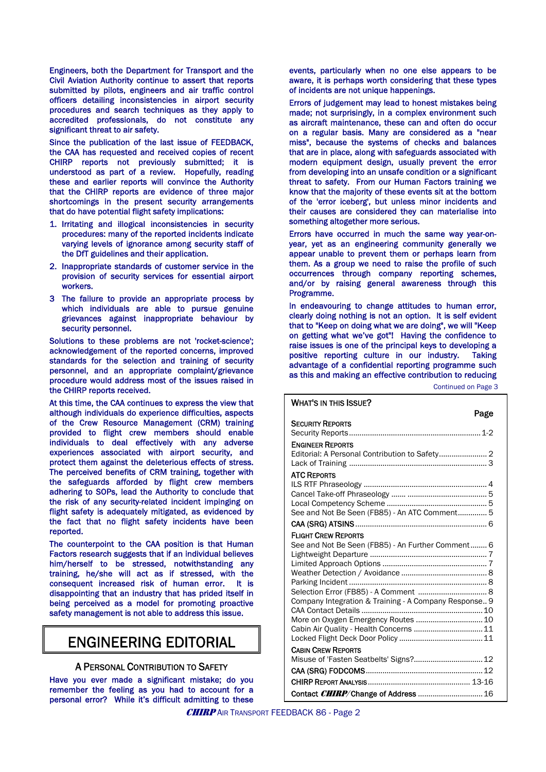Engineers, both the Department for Transport and the Civil Aviation Authority continue to assert that reports submitted by pilots, engineers and air traffic control officers detailing inconsistencies in airport security procedures and search techniques as they apply to accredited professionals, do not constitute any significant threat to air safety.

Since the publication of the last issue of FEEDBACK, the CAA has requested and received copies of recent CHIRP reports not previously submitted; it is understood as part of a review. Hopefully, reading these and earlier reports will convince the Authority that the CHIRP reports are evidence of three major shortcomings in the present security arrangements that do have potential flight safety implications:

- 1. Irritating and illogical inconsistencies in security procedures: many of the reported incidents indicate varying levels of ignorance among security staff of the DfT guidelines and their application.
- 2. Inappropriate standards of customer service in the provision of security services for essential airport workers.
- 3 The failure to provide an appropriate process by which individuals are able to pursue genuine grievances against inappropriate behaviour by security personnel.

Solutions to these problems are not 'rocket-science'; acknowledgement of the reported concerns, improved standards for the selection and training of security personnel, and an appropriate complaint/grievance procedure would address most of the issues raised in procedure world didn't continued on Page 3<br>
the CHIRP reports received.

At this time, the CAA continues to express the view that although individuals do experience difficulties, aspects of the Crew Resource Management (CRM) training provided to flight crew members should enable individuals to deal effectively with any adverse experiences associated with airport security, and protect them against the deleterious effects of stress. The perceived benefits of CRM training, together with the safeguards afforded by flight crew members adhering to SOPs, lead the Authority to conclude that the risk of any security-related incident impinging on flight safety is adequately mitigated, as evidenced by the fact that no flight safety incidents have been reported.

The counterpoint to the CAA position is that Human Factors research suggests that if an individual believes him/herself to be stressed, notwithstanding any training, he/she will act as if stressed, with the consequent increased risk of human error. It is disappointing that an industry that has prided itself in being perceived as a model for promoting proactive safety management is not able to address this issue.

## ENGINEERING EDITORIAL

#### A PERSONAL CONTRIBUTION TO SAFETY

Have you ever made a significant mistake; do you remember the feeling as you had to account for a personal error? While it's difficult admitting to these events, particularly when no one else appears to be aware, it is perhaps worth considering that these types of incidents are not unique happenings.

Errors of judgement may lead to honest mistakes being made; not surprisingly, in a complex environment such as aircraft maintenance, these can and often do occur on a regular basis. Many are considered as a "near miss", because the systems of checks and balances that are in place, along with safeguards associated with modern equipment design, usually prevent the error from developing into an unsafe condition or a significant threat to safety. From our Human Factors training we know that the majority of these events sit at the bottom of the 'error iceberg', but unless minor incidents and their causes are considered they can materialise into something altogether more serious.

Errors have occurred in much the same way year-onyear, yet as an engineering community generally we appear unable to prevent them or perhaps learn from them. As a group we need to raise the profile of such occurrences through company reporting schemes, and/or by raising general awareness through this Programme.

In endeavouring to change attitudes to human error, clearly doing nothing is not an option. It is self evident that to "Keep on doing what we are doing", we will "Keep on getting what we've got"! Having the confidence to raise issues is one of the principal keys to developing a positive reporting culture in our industry. Taking advantage of a confidential reporting programme such as this and making an effective contribution to reducing

| <b>WHAT'S IN THIS ISSUE?</b>                          |
|-------------------------------------------------------|
| Page                                                  |
| <b>SECURITY REPORTS</b>                               |
|                                                       |
| <b>ENGINEER REPORTS</b>                               |
|                                                       |
|                                                       |
| <b>ATC REPORTS</b>                                    |
|                                                       |
|                                                       |
|                                                       |
| See and Not Be Seen (FB85) - An ATC Comment 5         |
|                                                       |
| <b>FLIGHT CREW REPORTS</b>                            |
| See and Not Be Seen (FB85) - An Further Comment 6     |
|                                                       |
|                                                       |
|                                                       |
|                                                       |
| Selection Error (FB85) - A Comment  8                 |
| Company Integration & Training - A Company Response 9 |
| More on Oxygen Emergency Routes  10                   |
| Cabin Air Quality - Health Concerns  11               |
|                                                       |
| <b>CABIN CREW REPORTS</b>                             |
| Misuse of 'Fasten Seatbelts' Signs? 12                |
|                                                       |
|                                                       |
| Contact CHIRP/Change of Address  16                   |

**CHIRP** AIR TRANSPORT FEEDBACK 86 - Page 2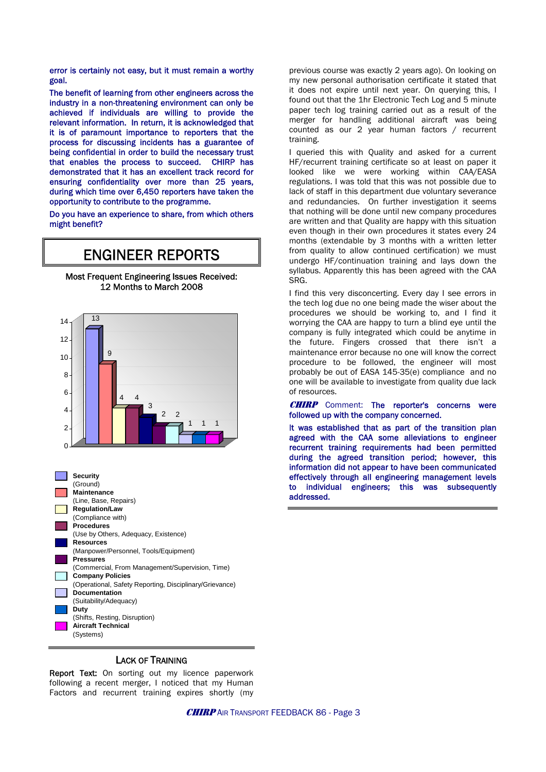error is certainly not easy, but it must remain a worthy goal.

The benefit of learning from other engineers across the industry in a non-threatening environment can only be achieved if individuals are willing to provide the relevant information. In return, it is acknowledged that it is of paramount importance to reporters that the process for discussing incidents has a guarantee of being confidential in order to build the necessary trust that enables the process to succeed. CHIRP has demonstrated that it has an excellent track record for ensuring confidentiality over more than 25 years, during which time over 6,450 reporters have taken the opportunity to contribute to the programme.

Do you have an experience to share, from which others might benefit?

## ENGINEER REPORTS

Most Frequent Engineering Issues Received: 12 Months to March 2008



previous course was exactly 2 years ago). On looking on my new personal authorisation certificate it stated that it does not expire until next year. On querying this, I found out that the 1hr Electronic Tech Log and 5 minute paper tech log training carried out as a result of the merger for handling additional aircraft was being counted as our 2 year human factors / recurrent training.

I queried this with Quality and asked for a current HF/recurrent training certificate so at least on paper it looked like we were working within CAA/EASA regulations. I was told that this was not possible due to lack of staff in this department due voluntary severance and redundancies. On further investigation it seems that nothing will be done until new company procedures are written and that Quality are happy with this situation even though in their own procedures it states every 24 months (extendable by 3 months with a written letter from quality to allow continued certification) we must undergo HF/continuation training and lays down the syllabus. Apparently this has been agreed with the CAA SRG.

I find this very disconcerting. Every day I see errors in the tech log due no one being made the wiser about the procedures we should be working to, and I find it worrying the CAA are happy to turn a blind eye until the company is fully integrated which could be anytime in the future. Fingers crossed that there isn't a maintenance error because no one will know the correct procedure to be followed, the engineer will most probably be out of EASA 145-35(e) compliance and no one will be available to investigate from quality due lack of resources.

**CHIRP** Comment: The reporter's concerns were followed up with the company concerned.

It was established that as part of the transition plan agreed with the CAA some alleviations to engineer recurrent training requirements had been permitted during the agreed transition period; however, this information did not appear to have been communicated effectively through all engineering management levels to individual engineers; this was subsequently addressed.

#### LACK OF TRAINING

(Systems)

Report Text: On sorting out my licence paperwork following a recent merger, I noticed that my Human Factors and recurrent training expires shortly (my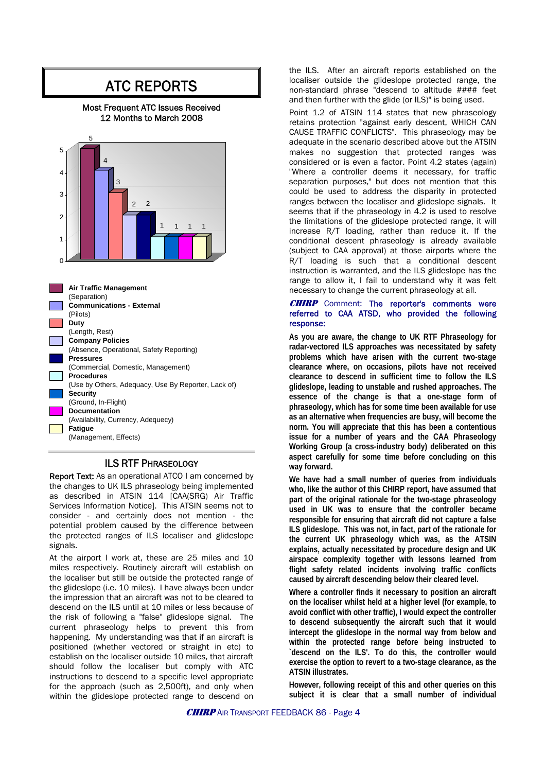## ATC REPORTS

#### Most Frequent ATC Issues Received 12 Months to March 2008



#### ILS RTF PHRASEOLOGY

Report Text: As an operational ATCO I am concerned by the changes to UK ILS phraseology being implemented as described in ATSIN 114 [CAA(SRG) Air Traffic Services Information Notice]. This ATSIN seems not to consider - and certainly does not mention - the potential problem caused by the difference between the protected ranges of ILS localiser and glideslope signals.

At the airport I work at, these are 25 miles and 10 miles respectively. Routinely aircraft will establish on the localiser but still be outside the protected range of the glideslope (i.e. 10 miles). I have always been under the impression that an aircraft was not to be cleared to descend on the ILS until at 10 miles or less because of the risk of following a "false" glideslope signal. The current phraseology helps to prevent this from happening. My understanding was that if an aircraft is positioned (whether vectored or straight in etc) to establish on the localiser outside 10 miles, that aircraft should follow the localiser but comply with ATC instructions to descend to a specific level appropriate for the approach (such as 2,500ft), and only when within the glideslope protected range to descend on the ILS. After an aircraft reports established on the localiser outside the glideslope protected range, the non-standard phrase "descend to altitude #### feet and then further with the glide (or ILS)" is being used.

Point 1.2 of ATSIN 114 states that new phraseology retains protection "against early descent, WHICH CAN CAUSE TRAFFIC CONFLICTS". This phraseology may be adequate in the scenario described above but the ATSIN makes no suggestion that protected ranges was considered or is even a factor. Point 4.2 states (again) "Where a controller deems it necessary, for traffic separation purposes," but does not mention that this could be used to address the disparity in protected ranges between the localiser and glideslope signals. It seems that if the phraseology in 4.2 is used to resolve the limitations of the glideslope protected range, it will increase R/T loading, rather than reduce it. If the conditional descent phraseology is already available (subject to CAA approval) at those airports where the R/T loading is such that a conditional descent instruction is warranted, and the ILS glideslope has the range to allow it, I fail to understand why it was felt necessary to change the current phraseology at all.

#### **CHIRP** Comment: The reporter's comments were referred to CAA ATSD, who provided the following response:

**As you are aware, the change to UK RTF Phraseology for radar-vectored ILS approaches was necessitated by safety problems which have arisen with the current two-stage clearance where, on occasions, pilots have not received clearance to descend in sufficient time to follow the ILS glideslope, leading to unstable and rushed approaches. The essence of the change is that a one-stage form of phraseology, which has for some time been available for use as an alternative when frequencies are busy, will become the norm. You will appreciate that this has been a contentious issue for a number of years and the CAA Phraseology Working Group (a cross-industry body) deliberated on this aspect carefully for some time before concluding on this way forward.** 

**We have had a small number of queries from individuals who, like the author of this CHIRP report, have assumed that part of the original rationale for the two-stage phraseology used in UK was to ensure that the controller became responsible for ensuring that aircraft did not capture a false ILS glideslope. This was not, in fact, part of the rationale for the current UK phraseology which was, as the ATSIN explains, actually necessitated by procedure design and UK airspace complexity together with lessons learned from flight safety related incidents involving traffic conflicts caused by aircraft descending below their cleared level.** 

**Where a controller finds it necessary to position an aircraft on the localiser whilst held at a higher level (for example, to avoid conflict with other traffic), I would expect the controller to descend subsequently the aircraft such that it would intercept the glideslope in the normal way from below and within the protected range before being instructed to `descend on the ILS'. To do this, the controller would exercise the option to revert to a two-stage clearance, as the ATSIN illustrates.** 

**However, following receipt of this and other queries on this subject it is clear that a small number of individual**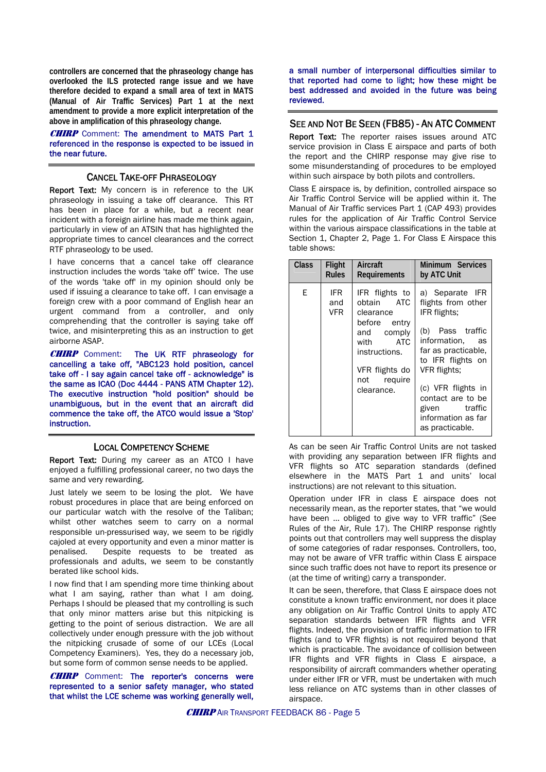**controllers are concerned that the phraseology change has overlooked the ILS protected range issue and we have therefore decided to expand a small area of text in MATS (Manual of Air Traffic Services) Part 1 at the next amendment to provide a more explicit interpretation of the above in amplification of this phraseology change.** 

**CHIRP** Comment: The amendment to MATS Part 1 referenced in the response is expected to be issued in the near future.

#### CANCEL TAKE-OFF PHRASEOLOGY

Report Text: My concern is in reference to the UK phraseology in issuing a take off clearance. This RT has been in place for a while, but a recent near incident with a foreign airline has made me think again, particularly in view of an ATSIN that has highlighted the appropriate times to cancel clearances and the correct RTF phraseology to be used.

I have concerns that a cancel take off clearance instruction includes the words 'take off' twice. The use of the words 'take off' in my opinion should only be used if issuing a clearance to take off. I can envisage a foreign crew with a poor command of English hear an urgent command from a controller, and only comprehending that the controller is saying take off twice, and misinterpreting this as an instruction to get airborne ASAP.

CHIRP Comment: The UK RTF phraseology for cancelling a take off, "ABC123 hold position, cancel take off - I say again cancel take off - acknowledge" is the same as ICAO (Doc 4444 - PANS ATM Chapter 12). The executive instruction "hold position" should be unambiguous, but in the event that an aircraft did commence the take off, the ATCO would issue a 'Stop' instruction.

#### LOCAL COMPETENCY SCHEME

Report Text: During my career as an ATCO I have enjoyed a fulfilling professional career, no two days the same and very rewarding.

Just lately we seem to be losing the plot. We have robust procedures in place that are being enforced on our particular watch with the resolve of the Taliban; whilst other watches seem to carry on a normal responsible un-pressurised way, we seem to be rigidly cajoled at every opportunity and even a minor matter is penalised. Despite requests to be treated as professionals and adults, we seem to be constantly berated like school kids.

I now find that I am spending more time thinking about what I am saying, rather than what I am doing. Perhaps I should be pleased that my controlling is such that only minor matters arise but this nitpicking is getting to the point of serious distraction. We are all collectively under enough pressure with the job without the nitpicking crusade of some of our LCEs (Local Competency Examiners). Yes, they do a necessary job, but some form of common sense needs to be applied.

**CHIRP** Comment: The reporter's concerns were represented to a senior safety manager, who stated that whilst the LCE scheme was working generally well,

a small number of interpersonal difficulties similar to that reported had come to light; how these might be best addressed and avoided in the future was being reviewed.

#### SEE AND NOT BE SEEN (FB85) - AN ATC COMMENT

Report Text: The reporter raises issues around ATC service provision in Class E airspace and parts of both the report and the CHIRP response may give rise to some misunderstanding of procedures to be employed within such airspace by both pilots and controllers.

Class E airspace is, by definition, controlled airspace so Air Traffic Control Service will be applied within it. The Manual of Air Traffic services Part 1 (CAP 493) provides rules for the application of Air Traffic Control Service within the various airspace classifications in the table at Section 1, Chapter 2, Page 1. For Class E Airspace this table shows:

| <b>Class</b> | Flight             | Aircraft                                                                                                                                                      | Minimum Services                                                                                                                                                                                                                                                 |
|--------------|--------------------|---------------------------------------------------------------------------------------------------------------------------------------------------------------|------------------------------------------------------------------------------------------------------------------------------------------------------------------------------------------------------------------------------------------------------------------|
|              | <b>Rules</b>       | Requirements                                                                                                                                                  | by ATC Unit                                                                                                                                                                                                                                                      |
| F            | IFR.<br>and<br>VFR | IFR flights to<br>obtain ATC<br>clearance<br>before entry<br>and comply<br><b>ATC</b><br>with<br>instructions.<br>VFR flights do<br>not require<br>clearance. | a) Separate IFR<br>flights from other<br>IFR flights:<br>(b) Pass traffic<br>information.<br>as<br>far as practicable.<br>to IFR flights on<br>VFR flights:<br>(c) VFR flights in<br>contact are to be<br>given traffic<br>information as far<br>as practicable. |

As can be seen Air Traffic Control Units are not tasked with providing any separation between IFR flights and VFR flights so ATC separation standards (defined elsewhere in the MATS Part 1 and units' local instructions) are not relevant to this situation.

Operation under IFR in class E airspace does not necessarily mean, as the reporter states, that "we would have been ... obliged to give way to VFR traffic" (See Rules of the Air, Rule 17). The CHIRP response rightly points out that controllers may well suppress the display of some categories of radar responses. Controllers, too, may not be aware of VFR traffic within Class E airspace since such traffic does not have to report its presence or (at the time of writing) carry a transponder.

It can be seen, therefore, that Class E airspace does not constitute a known traffic environment, nor does it place any obligation on Air Traffic Control Units to apply ATC separation standards between IFR flights and VFR flights. Indeed, the provision of traffic information to IFR flights (and to VFR flights) is not required beyond that which is practicable. The avoidance of collision between IFR flights and VFR flights in Class E airspace, a responsibility of aircraft commanders whether operating under either IFR or VFR, must be undertaken with much less reliance on ATC systems than in other classes of airspace.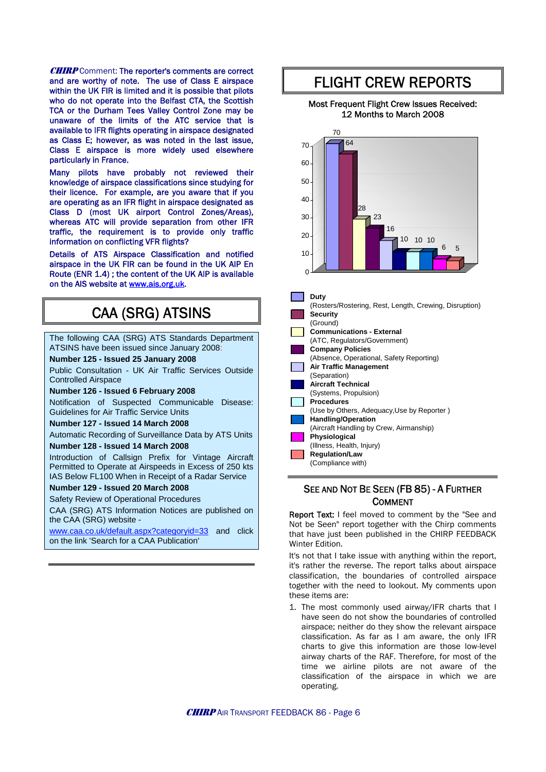**CHIRP** Comment: The reporter's comments are correct and are worthy of note. The use of Class E airspace within the UK FIR is limited and it is possible that pilots who do not operate into the Belfast CTA, the Scottish TCA or the Durham Tees Valley Control Zone may be unaware of the limits of the ATC service that is available to IFR flights operating in airspace designated as Class E; however, as was noted in the last issue, Class E airspace is more widely used elsewhere particularly in France.

Many pilots have probably not reviewed their knowledge of airspace classifications since studying for their licence. For example, are you aware that if you are operating as an IFR flight in airspace designated as Class D (most UK airport Control Zones/Areas), whereas ATC will provide separation from other IFR traffic, the requirement is to provide only traffic information on conflicting VFR flights?

Details of ATS Airspace Classification and notified airspace in the UK FIR can be found in the UK AIP En Route (ENR 1.4) ; the content of the UK AIP is available on the AIS website at [www.ais.org.uk](http://www.ais.org.uk/).

## CAA (SRG) ATSINS

The following CAA (SRG) ATS Standards Department ATSINS have been issued since January 2008:

#### **Number 125 - Issued 25 January 2008**

Public Consultation - UK Air Traffic Services Outside Controlled Airspace

**Number 126 - Issued 6 February 2008** 

Notification of Suspected Communicable Disease: Guidelines for Air Traffic Service Units

**Number 127 - Issued 14 March 2008**

Automatic Recording of Surveillance Data by ATS Units **Number 128 - Issued 14 March 2008**

Introduction of Callsign Prefix for Vintage Aircraft Permitted to Operate at Airspeeds in Excess of 250 kts IAS Below FL100 When in Receipt of a Radar Service

#### **Number 129 - Issued 20 March 2008**

Safety Review of Operational Procedures

CAA (SRG) ATS Information Notices are published on the CAA (SRG) website -

[www.caa.co.uk/default.aspx?categoryid=33](http://www.caa.co.uk/default.aspx?categoryid=33) and click on the link 'Search for a CAA Publication'

## FLIGHT CREW REPORTS

#### Most Frequent Flight Crew Issues Received: 12 Months to March 2008



#### SEE AND NOT BE SEEN (FB 85) - A FURTHER COMMENT

Report Text: I feel moved to comment by the "See and Not be Seen" report together with the Chirp comments that have just been published in the CHIRP FEEDBACK Winter Edition.

It's not that I take issue with anything within the report, it's rather the reverse. The report talks about airspace classification, the boundaries of controlled airspace together with the need to lookout. My comments upon these items are:

1. The most commonly used airway/IFR charts that I have seen do not show the boundaries of controlled airspace; neither do they show the relevant airspace classification. As far as I am aware, the only IFR charts to give this information are those low-level airway charts of the RAF. Therefore, for most of the time we airline pilots are not aware of the classification of the airspace in which we are operating.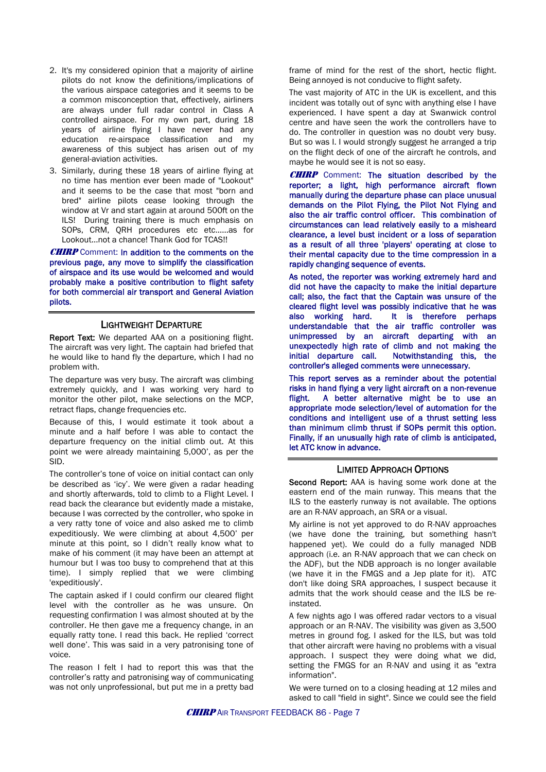- 2. It's my considered opinion that a majority of airline pilots do not know the definitions/implications of the various airspace categories and it seems to be a common misconception that, effectively, airliners are always under full radar control in Class A controlled airspace. For my own part, during 18 years of airline flying I have never had any education re-airspace classification and my awareness of this subject has arisen out of my general-aviation activities.
- 3. Similarly, during these 18 years of airline flying at no time has mention ever been made of "Lookout" and it seems to be the case that most "born and bred" airline pilots cease looking through the window at Vr and start again at around 500ft on the ILS! During training there is much emphasis on SOPs, CRM, QRH procedures etc etc......as for Lookout...not a chance! Thank God for TCAS!!

**CHIRP** Comment: In addition to the comments on the previous page, any move to simplify the classification of airspace and its use would be welcomed and would probably make a positive contribution to flight safety for both commercial air transport and General Aviation pilots.

#### LIGHTWEIGHT DEPARTURE

Report Text: We departed AAA on a positioning flight. The aircraft was very light. The captain had briefed that he would like to hand fly the departure, which I had no problem with.

The departure was very busy. The aircraft was climbing extremely quickly, and I was working very hard to monitor the other pilot, make selections on the MCP, retract flaps, change frequencies etc.

Because of this, I would estimate it took about a minute and a half before I was able to contact the departure frequency on the initial climb out. At this point we were already maintaining 5,000', as per the SID.

The controller's tone of voice on initial contact can only be described as 'icy'. We were given a radar heading and shortly afterwards, told to climb to a Flight Level. I read back the clearance but evidently made a mistake, because I was corrected by the controller, who spoke in a very ratty tone of voice and also asked me to climb expeditiously. We were climbing at about 4,500' per minute at this point, so I didn't really know what to make of his comment (it may have been an attempt at humour but I was too busy to comprehend that at this time). I simply replied that we were climbing 'expeditiously'.

The captain asked if I could confirm our cleared flight level with the controller as he was unsure. On requesting confirmation I was almost shouted at by the controller. He then gave me a frequency change, in an equally ratty tone. I read this back. He replied 'correct well done'. This was said in a very patronising tone of voice.

The reason I felt I had to report this was that the controller's ratty and patronising way of communicating was not only unprofessional, but put me in a pretty bad frame of mind for the rest of the short, hectic flight. Being annoyed is not conducive to flight safety.

The vast majority of ATC in the UK is excellent, and this incident was totally out of sync with anything else I have experienced. I have spent a day at Swanwick control centre and have seen the work the controllers have to do. The controller in question was no doubt very busy. But so was I. I would strongly suggest he arranged a trip on the flight deck of one of the aircraft he controls, and maybe he would see it is not so easy.

CHIRP Comment: The situation described by the reporter; a light, high performance aircraft flown manually during the departure phase can place unusual demands on the Pilot Flying, the Pilot Not Flying and also the air traffic control officer. This combination of circumstances can lead relatively easily to a misheard clearance, a level bust incident or a loss of separation as a result of all three 'players' operating at close to their mental capacity due to the time compression in a rapidly changing sequence of events.

As noted, the reporter was working extremely hard and did not have the capacity to make the initial departure call; also, the fact that the Captain was unsure of the cleared flight level was possibly indicative that he was also working hard. It is therefore perhaps understandable that the air traffic controller was unimpressed by an aircraft departing with an unexpectedly high rate of climb and not making the initial departure call. Notwithstanding this, the controller's alleged comments were unnecessary.

This report serves as a reminder about the potential risks in hand flying a very light aircraft on a non-revenue flight. A better alternative might be to use an appropriate mode selection/level of automation for the conditions and intelligent use of a thrust setting less than minimum climb thrust if SOPs permit this option. Finally, if an unusually high rate of climb is anticipated, let ATC know in advance.

#### LIMITED APPROACH OPTIONS

Second Report: AAA is having some work done at the eastern end of the main runway. This means that the ILS to the easterly runway is not available. The options are an R-NAV approach, an SRA or a visual.

My airline is not yet approved to do R-NAV approaches (we have done the training, but something hasn't happened yet). We could do a fully managed NDB approach (i.e. an R-NAV approach that we can check on the ADF), but the NDB approach is no longer available (we have it in the FMGS and a Jep plate for it). ATC don't like doing SRA approaches, I suspect because it admits that the work should cease and the ILS be reinstated.

A few nights ago I was offered radar vectors to a visual approach or an R-NAV. The visibility was given as 3,500 metres in ground fog. I asked for the ILS, but was told that other aircraft were having no problems with a visual approach. I suspect they were doing what we did, setting the FMGS for an R-NAV and using it as "extra information".

We were turned on to a closing heading at 12 miles and asked to call "field in sight". Since we could see the field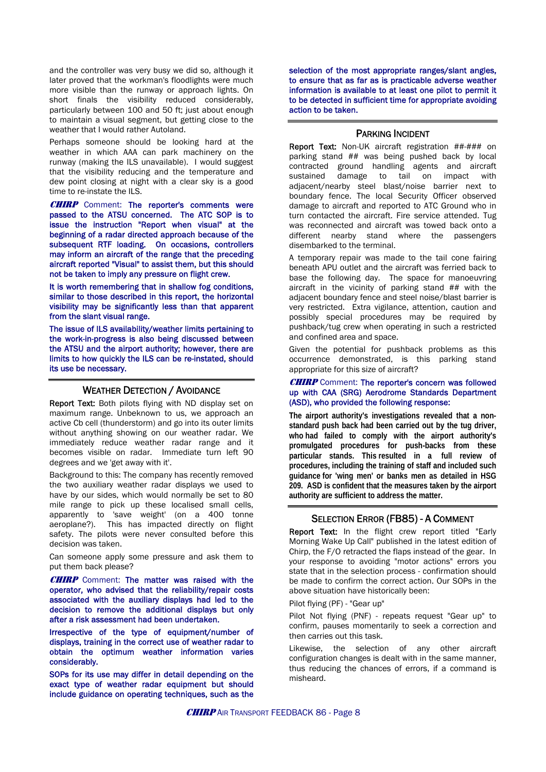and the controller was very busy we did so, although it later proved that the workman's floodlights were much more visible than the runway or approach lights. On short finals the visibility reduced considerably, particularly between 100 and 50 ft; just about enough to maintain a visual segment, but getting close to the weather that I would rather Autoland.

Perhaps someone should be looking hard at the weather in which AAA can park machinery on the runway (making the ILS unavailable). I would suggest that the visibility reducing and the temperature and dew point closing at night with a clear sky is a good time to re-instate the ILS.

**CHIRP** Comment: The reporter's comments were passed to the ATSU concerned. The ATC SOP is to issue the instruction "Report when visual" at the beginning of a radar directed approach because of the subsequent RTF loading. On occasions, controllers may inform an aircraft of the range that the preceding aircraft reported "Visual" to assist them, but this should not be taken to imply any pressure on flight crew.

It is worth remembering that in shallow fog conditions, similar to those described in this report, the horizontal visibility may be significantly less than that apparent from the slant visual range.

The issue of ILS availability/weather limits pertaining to the work-in-progress is also being discussed between the ATSU and the airport authority; however, there are limits to how quickly the ILS can be re-instated, should its use be necessary.

#### WEATHER DETECTION / AVOIDANCE

Report Text: Both pilots flying with ND display set on maximum range. Unbeknown to us, we approach an active Cb cell (thunderstorm) and go into its outer limits without anything showing on our weather radar. We immediately reduce weather radar range and it becomes visible on radar. Immediate turn left 90 degrees and we 'get away with it'.

Background to this: The company has recently removed the two auxiliary weather radar displays we used to have by our sides, which would normally be set to 80 mile range to pick up these localised small cells, apparently to 'save weight' (on a 400 tonne aeroplane?). This has impacted directly on flight safety. The pilots were never consulted before this decision was taken.

Can someone apply some pressure and ask them to put them back please?

**CHIRP** Comment: The matter was raised with the operator, who advised that the reliability/repair costs associated with the auxiliary displays had led to the decision to remove the additional displays but only after a risk assessment had been undertaken.

Irrespective of the type of equipment/number of displays, training in the correct use of weather radar to obtain the optimum weather information varies considerably.

SOPs for its use may differ in detail depending on the exact type of weather radar equipment but should include guidance on operating techniques, such as the

selection of the most appropriate ranges/slant angles, to ensure that as far as is practicable adverse weather information is available to at least one pilot to permit it to be detected in sufficient time for appropriate avoiding action to be taken.

#### PARKING INCIDENT

Report Text: Non-UK aircraft registration ##-### on parking stand ## was being pushed back by local contracted ground handling agents and aircraft tail on impact with adjacent/nearby steel blast/noise barrier next to boundary fence. The local Security Officer observed damage to aircraft and reported to ATC Ground who in turn contacted the aircraft. Fire service attended. Tug was reconnected and aircraft was towed back onto a different nearby stand where the passengers disembarked to the terminal.

A temporary repair was made to the tail cone fairing beneath APU outlet and the aircraft was ferried back to base the following day. The space for manoeuvring aircraft in the vicinity of parking stand ## with the adjacent boundary fence and steel noise/blast barrier is very restricted. Extra vigilance, attention, caution and possibly special procedures may be required by pushback/tug crew when operating in such a restricted and confined area and space.

Given the potential for pushback problems as this occurrence demonstrated, is this parking stand appropriate for this size of aircraft?

#### **CHIRP** Comment: The reporter's concern was followed up with CAA (SRG) Aerodrome Standards Department (ASD), who provided the following response:

**The airport authority's investigations revealed that a nonstandard push back had been carried out by the tug driver, who had failed to comply with the airport authority's promulgated procedures for push-backs from these particular stands. This resulted in a full review of procedures, including the training of staff and included such guidance for 'wing men' or banks men as detailed in HSG 209. ASD is confident that the measures taken by the airport authority are sufficient to address the matter.**

#### SELECTION ERROR (FB85) - A COMMENT

Report Text: In the flight crew report titled "Early Morning Wake Up Call" published in the latest edition of Chirp, the F/O retracted the flaps instead of the gear. In your response to avoiding "motor actions" errors you state that in the selection process - confirmation should be made to confirm the correct action. Our SOPs in the above situation have historically been:

Pilot flying (PF) - "Gear up"

Pilot Not flying (PNF) - repeats request "Gear up" to confirm, pauses momentarily to seek a correction and then carries out this task.

Likewise, the selection of any other aircraft configuration changes is dealt with in the same manner, thus reducing the chances of errors, if a command is misheard.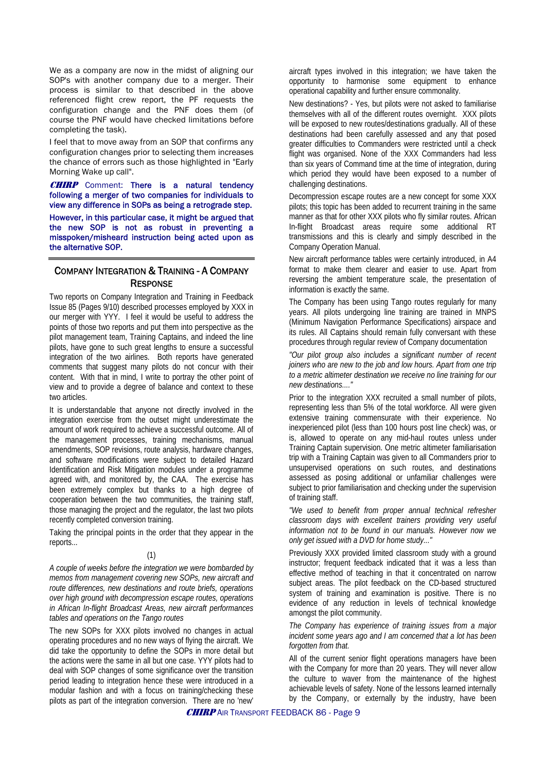We as a company are now in the midst of aligning our SOP's with another company due to a merger. Their process is similar to that described in the above referenced flight crew report, the PF requests the configuration change and the PNF does them (of course the PNF would have checked limitations before completing the task).

I feel that to move away from an SOP that confirms any configuration changes prior to selecting them increases the chance of errors such as those highlighted in "Early Morning Wake up call".

**CHIRP** Comment: There is a natural tendency following a merger of two companies for individuals to view any difference in SOPs as being a retrograde step.

However, in this particular case, it might be argued that the new SOP is not as robust in preventing a misspoken/misheard instruction being acted upon as the alternative SOP.

#### COMPANY INTEGRATION & TRAINING - A COMPANY **RESPONSE**

Two reports on Company Integration and Training in Feedback Issue 85 (Pages 9/10) described processes employed by XXX in our merger with YYY. I feel it would be useful to address the points of those two reports and put them into perspective as the pilot management team, Training Captains, and indeed the line pilots, have gone to such great lengths to ensure a successful integration of the two airlines. Both reports have generated comments that suggest many pilots do not concur with their content. With that in mind, I write to portray the other point of view and to provide a degree of balance and context to these two articles.

It is understandable that anyone not directly involved in the integration exercise from the outset might underestimate the amount of work required to achieve a successful outcome. All of the management processes, training mechanisms, manual amendments, SOP revisions, route analysis, hardware changes, and software modifications were subject to detailed Hazard Identification and Risk Mitigation modules under a programme agreed with, and monitored by, the CAA. The exercise has been extremely complex but thanks to a high degree of cooperation between the two communities, the training staff, those managing the project and the regulator, the last two pilots recently completed conversion training.

Taking the principal points in the order that they appear in the reports...

#### (1)

*A couple of weeks before the integration we were bombarded by memos from management covering new SOPs, new aircraft and route differences, new destinations and route briefs, operations over high ground with decompression escape routes, operations in African In-flight Broadcast Areas, new aircraft performances tables and operations on the Tango routes* 

The new SOPs for XXX pilots involved no changes in actual operating procedures and no new ways of flying the aircraft. We did take the opportunity to define the SOPs in more detail but the actions were the same in all but one case. YYY pilots had to deal with SOP changes of some significance over the transition period leading to integration hence these were introduced in a modular fashion and with a focus on training/checking these pilots as part of the integration conversion. There are no 'new'

aircraft types involved in this integration; we have taken the opportunity to harmonise some equipment to enhance operational capability and further ensure commonality.

New destinations? - Yes, but pilots were not asked to familiarise themselves with all of the different routes overnight. XXX pilots will be exposed to new routes/destinations gradually. All of these destinations had been carefully assessed and any that posed greater difficulties to Commanders were restricted until a check flight was organised. None of the XXX Commanders had less than six years of Command time at the time of integration, during which period they would have been exposed to a number of challenging destinations.

Decompression escape routes are a new concept for some XXX pilots; this topic has been added to recurrent training in the same manner as that for other XXX pilots who fly similar routes. African In-flight Broadcast areas require some additional RT transmissions and this is clearly and simply described in the Company Operation Manual.

New aircraft performance tables were certainly introduced, in A4 format to make them clearer and easier to use. Apart from reversing the ambient temperature scale, the presentation of information is exactly the same.

The Company has been using Tango routes regularly for many years. All pilots undergoing line training are trained in MNPS (Minimum Navigation Performance Specifications) airspace and its rules. All Captains should remain fully conversant with these procedures through regular review of Company documentation

*"Our pilot group also includes a significant number of recent joiners who are new to the job and low hours. Apart from one trip to a metric altimeter destination we receive no line training for our new destinations...."* 

Prior to the integration XXX recruited a small number of pilots, representing less than 5% of the total workforce. All were given extensive training commensurate with their experience. No inexperienced pilot (less than 100 hours post line check) was, or is, allowed to operate on any mid-haul routes unless under Training Captain supervision. One metric altimeter familiarisation trip with a Training Captain was given to all Commanders prior to unsupervised operations on such routes, and destinations assessed as posing additional or unfamiliar challenges were subject to prior familiarisation and checking under the supervision of training staff.

*"We used to benefit from proper annual technical refresher classroom days with excellent trainers providing very useful information not to be found in our manuals. However now we only get issued with a DVD for home study..."* 

Previously XXX provided limited classroom study with a ground instructor; frequent feedback indicated that it was a less than effective method of teaching in that it concentrated on narrow subject areas. The pilot feedback on the CD-based structured system of training and examination is positive. There is no evidence of any reduction in levels of technical knowledge amongst the pilot community.

*The Company has experience of training issues from a major incident some years ago and I am concerned that a lot has been forgotten from that.* 

All of the current senior flight operations managers have been with the Company for more than 20 years. They will never allow the culture to waver from the maintenance of the highest achievable levels of safety. None of the lessons learned internally by the Company, or externally by the industry, have been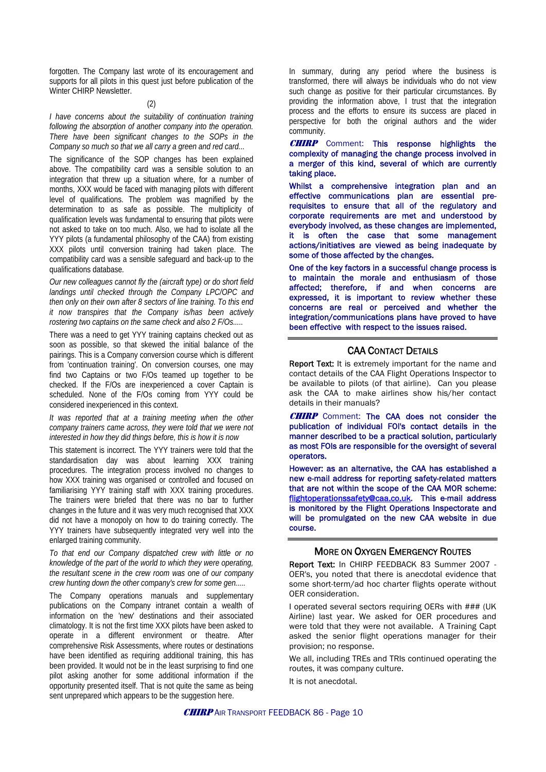forgotten. The Company last wrote of its encouragement and supports for all pilots in this quest just before publication of the Winter CHIRP Newsletter.

#### (2)

*I have concerns about the suitability of continuation training following the absorption of another company into the operation. There have been significant changes to the SOPs in the Company so much so that we all carry a green and red card...* 

The significance of the SOP changes has been explained above. The compatibility card was a sensible solution to an integration that threw up a situation where, for a number of months, XXX would be faced with managing pilots with different level of qualifications. The problem was magnified by the determination to as safe as possible. The multiplicity of qualification levels was fundamental to ensuring that pilots were not asked to take on too much. Also, we had to isolate all the YYY pilots (a fundamental philosophy of the CAA) from existing XXX pilots until conversion training had taken place. The compatibility card was a sensible safeguard and back-up to the qualifications database.

*Our new colleagues cannot fly the (aircraft type) or do short field landings until checked through the Company LPC/OPC and then only on their own after 8 sectors of line training. To this end it now transpires that the Company is/has been actively rostering two captains on the same check and also 2 F/Os.....* 

There was a need to get YYY training captains checked out as soon as possible, so that skewed the initial balance of the pairings. This is a Company conversion course which is different from 'continuation training'. On conversion courses, one may find two Captains or two F/Os teamed up together to be checked. If the F/Os are inexperienced a cover Captain is scheduled. None of the F/Os coming from YYY could be considered inexperienced in this context.

*It was reported that at a training meeting when the other company trainers came across, they were told that we were not interested in how they did things before, this is how it is now* 

This statement is incorrect. The YYY trainers were told that the standardisation day was about learning XXX training procedures. The integration process involved no changes to how XXX training was organised or controlled and focused on familiarising YYY training staff with XXX training procedures. The trainers were briefed that there was no bar to further changes in the future and it was very much recognised that XXX did not have a monopoly on how to do training correctly. The YYY trainers have subsequently integrated very well into the enlarged training community.

*To that end our Company dispatched crew with little or no knowledge of the part of the world to which they were operating, the resultant scene in the crew room was one of our company crew hunting down the other company's crew for some gen.....* 

The Company operations manuals and supplementary publications on the Company intranet contain a wealth of information on the 'new' destinations and their associated climatology. It is not the first time XXX pilots have been asked to operate in a different environment or theatre. After comprehensive Risk Assessments, where routes or destinations have been identified as requiring additional training, this has been provided. It would not be in the least surprising to find one pilot asking another for some additional information if the opportunity presented itself. That is not quite the same as being sent unprepared which appears to be the suggestion here.

In summary, during any period where the business is transformed, there will always be individuals who do not view such change as positive for their particular circumstances. By providing the information above, I trust that the integration process and the efforts to ensure its success are placed in perspective for both the original authors and the wider community.

**CHIRP** Comment: This response highlights the complexity of managing the change process involved in a merger of this kind, several of which are currently taking place.

Whilst a comprehensive integration plan and an effective communications plan are essential prerequisites to ensure that all of the regulatory and corporate requirements are met and understood by everybody involved, as these changes are implemented, it is often the case that some management actions/initiatives are viewed as being inadequate by some of those affected by the changes.

One of the key factors in a successful change process is to maintain the morale and enthusiasm of those affected; therefore, if and when concerns are expressed, it is important to review whether these concerns are real or perceived and whether the integration/communications plans have proved to have been effective with respect to the issues raised.

#### CAA CONTACT DETAILS

Report Text: It is extremely important for the name and contact details of the CAA Flight Operations Inspector to be available to pilots (of that airline). Can you please ask the CAA to make airlines show his/her contact details in their manuals?

**CHIRP** Comment: The CAA does not consider the publication of individual FOI's contact details in the manner described to be a practical solution, particularly as most FOIs are responsible for the oversight of several operators.

However: as an alternative, the CAA has established a new e-mail address for reporting safety-related matters that are not within the scope of the CAA MOR scheme: [flightoperationssafety@caa.co.uk.](mailto:flightoperationssafety@caa.co.uk) This e-mail address is monitored by the Flight Operations Inspectorate and will be promulgated on the new CAA website in due course.

#### MORE ON OXYGEN EMERGENCY ROUTES

Report Text: In CHIRP FEEDBACK 83 Summer 2007 -OER's, you noted that there is anecdotal evidence that some short-term/ad hoc charter flights operate without OER consideration.

I operated several sectors requiring OERs with ### (UK Airline) last year. We asked for OER procedures and were told that they were not available. A Training Capt asked the senior flight operations manager for their provision; no response.

We all, including TREs and TRIs continued operating the routes, it was company culture.

It is not anecdotal.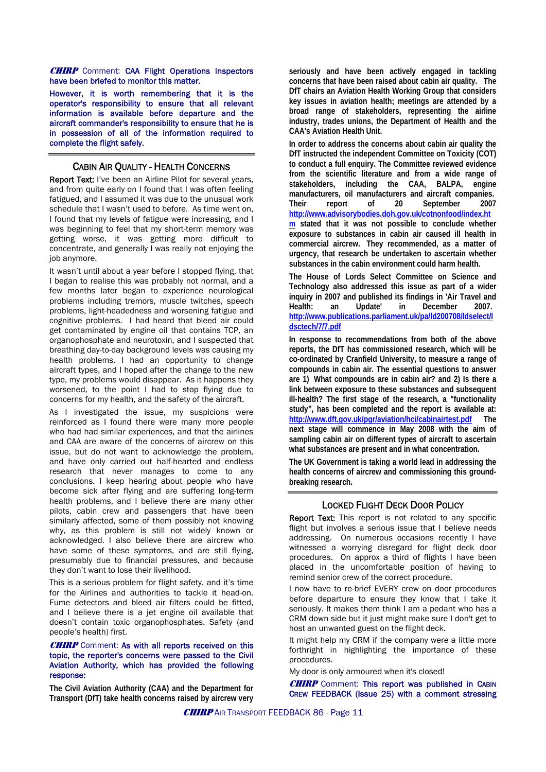**CHIRP** Comment: CAA Flight Operations Inspectors have been briefed to monitor this matter.

However, it is worth remembering that it is the operator's responsibility to ensure that all relevant information is available before departure and the aircraft commander's responsibility to ensure that he is in possession of all of the information required to complete the flight safely.

#### CABIN AIR QUALITY - HEALTH CONCERNS

Report Text: I've been an Airline Pilot for several years, and from quite early on I found that I was often feeling fatigued, and I assumed it was due to the unusual work schedule that I wasn't used to before. As time went on, I found that my levels of fatigue were increasing, and I was beginning to feel that my short-term memory was getting worse, it was getting more difficult to concentrate, and generally I was really not enjoying the job anymore.

It wasn't until about a year before I stopped flying, that I began to realise this was probably not normal, and a few months later began to experience neurological problems including tremors, muscle twitches, speech problems, light-headedness and worsening fatigue and cognitive problems. I had heard that bleed air could get contaminated by engine oil that contains TCP, an organophosphate and neurotoxin, and I suspected that breathing day-to-day background levels was causing my health problems. I had an opportunity to change aircraft types, and I hoped after the change to the new type, my problems would disappear. As it happens they worsened, to the point I had to stop flying due to concerns for my health, and the safety of the aircraft.

As I investigated the issue, my suspicions were reinforced as I found there were many more people who had had similar experiences, and that the airlines and CAA are aware of the concerns of aircrew on this issue, but do not want to acknowledge the problem, and have only carried out half-hearted and endless research that never manages to come to any conclusions. I keep hearing about people who have become sick after flying and are suffering long-term health problems, and I believe there are many other pilots, cabin crew and passengers that have been similarly affected, some of them possibly not knowing why, as this problem is still not widely known or acknowledged. I also believe there are aircrew who have some of these symptoms, and are still flying, presumably due to financial pressures, and because they don't want to lose their livelihood.

This is a serious problem for flight safety, and it's time for the Airlines and authorities to tackle it head-on. Fume detectors and bleed air filters could be fitted, and I believe there is a jet engine oil available that doesn't contain toxic organophosphates. Safety (and people's health) first.

#### **CHIRP** Comment: As with all reports received on this topic, the reporter's concerns were passed to the Civil Aviation Authority, which has provided the following response:

**The Civil Aviation Authority (CAA) and the Department for Transport (DfT) take health concerns raised by aircrew very** 

**seriously and have been actively engaged in tackling concerns that have been raised about cabin air quality. The DfT chairs an Aviation Health Working Group that considers key issues in aviation health; meetings are attended by a broad range of stakeholders, representing the airline industry, trades unions, the Department of Health and the CAA's Aviation Health Unit.** 

**In order to address the concerns about cabin air quality the DfT instructed the independent Committee on Toxicity (COT) to conduct a full enquiry. The Committee reviewed evidence from the scientific literature and from a wide range of stakeholders, including the CAA, BALPA, engine manufacturers, oil manufacturers and aircraft companies. Their report of 20 September 2007 [http://www.advisorybodies.doh.gov.uk/cotnonfood/index.ht](http://www.advisorybodies.doh.gov.uk/cotnonfood/index.htm) [m](http://www.advisorybodies.doh.gov.uk/cotnonfood/index.htm) stated that it was not possible to conclude whether exposure to substances in cabin air caused ill health in commercial aircrew. They recommended, as a matter of urgency, that research be undertaken to ascertain whether substances in the cabin environment could harm health.** 

**The House of Lords Select Committee on Science and Technology also addressed this issue as part of a wider inquiry in 2007 and published its findings in 'Air Travel and Health: an Update' in December 2007. [http://www.publications.parliament.uk/pa/ld200708/ldselect/l](http://www.publications.parliament.uk/pa/ld200708/ldselect/ldsctech/7/7.pdf) [dsctech/7/7.pdf](http://www.publications.parliament.uk/pa/ld200708/ldselect/ldsctech/7/7.pdf)**

**In response to recommendations from both of the above reports, the DfT has commissioned research, which will be co-ordinated by Cranfield University, to measure a range of compounds in cabin air. The essential questions to answer are 1) What compounds are in cabin air? and 2) Is there a link between exposure to these substances and subsequent ill-health? The first stage of the research, a "functionality study", has been completed and the report is available at: <http://www.dft.gov.uk/pgr/aviation/hci/cabinairtest.pdf>The next stage will commence in May 2008 with the aim of sampling cabin air on different types of aircraft to ascertain what substances are present and in what concentration.** 

**The UK Government is taking a world lead in addressing the health concerns of aircrew and commissioning this groundbreaking research.**

#### LOCKED FLIGHT DECK DOOR POLICY

Report Text: This report is not related to any specific flight but involves a serious issue that I believe needs addressing. On numerous occasions recently I have witnessed a worrying disregard for flight deck door procedures. On approx a third of flights I have been placed in the uncomfortable position of having to remind senior crew of the correct procedure.

I now have to re-brief EVERY crew on door procedures before departure to ensure they know that I take it seriously. It makes them think I am a pedant who has a CRM down side but it just might make sure I don't get to host an unwanted guest on the flight deck.

It might help my CRM if the company were a little more forthright in highlighting the importance of these procedures.

My door is only armoured when it's closed!

**CHIRP** Comment: This report was published in CABIN CREW FEEDBACK (Issue 25) with a comment stressing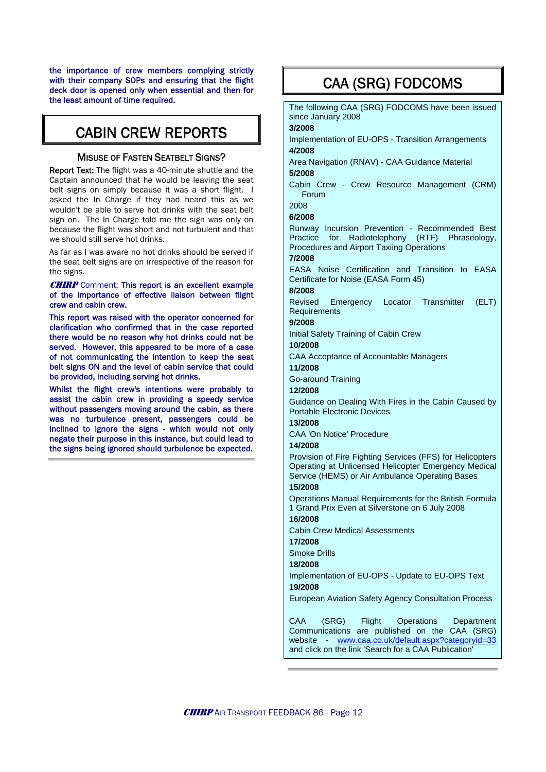the importance of crew members complying strictly with their company SOPs and ensuring that the flight deck door is opened only when essential and then for the least amount of time required.

## CABIN CREW REPORTS

#### **MISUSE OF FASTEN SEATBELT SIGNS?**

Report Text: The flight was a 40-minute shuttle and the Captain announced that he would be leaving the seat belt signs on simply because it was a short flight. I asked the In Charge if they had heard this as we wouldn't be able to serve hot drinks with the seat belt sign on. The In Charge told me the sign was only on because the flight was short and not turbulent and that we should still serve hot drinks.

As far as I was aware no hot drinks should be served if the seat belt signs are on irrespective of the reason for the signs.

#### **CHIRP** Comment: This report is an excellent example of the importance of effective liaison between flight crew and cabin crew.

This report was raised with the operator concerned for clarification who confirmed that in the case reported there would be no reason why hot drinks could not be served. However, this appeared to be more of a case of not communicating the intention to keep the seat belt signs ON and the level of cabin service that could be provided, including serving hot drinks.

Whilst the flight crew's intentions were probably to assist the cabin crew in providing a speedy service without passengers moving around the cabin, as there was no turbulence present, passengers could be inclined to ignore the signs - which would not only negate their purpose in this instance, but could lead to the signs being ignored should turbulence be expected.

## CAA (SRG) FODCOMS

The following CAA (SRG) FODCOMS have been issued since January 2008

#### **3/2008**

Implementation of EU-OPS - Transition Arrangements **4/2008**

Area Navigation (RNAV) - CAA Guidance Material **5/2008**

Cabin Crew - Crew Resource Management (CRM) Forum

#### 2008 **6/2008**

Runway Incursion Prevention - Recommended Best Practice for Radiotelephony (RTF) Phraseology, Procedures and Airport Taxiing Operations

#### **7/2008**

EASA Noise Certification and Transition to EASA Certificate for Noise (EASA Form 45)

#### **8/2008**

Revised Emergency Locator Transmitter (ELT) **Requirements** 

### **9/2008**

Initial Safety Training of Cabin Crew

#### **10/2008**

CAA Acceptance of Accountable Managers

**11/2008**

Go-around Training

#### **12/2008**

Guidance on Dealing With Fires in the Cabin Caused by Portable Electronic Devices

#### **13/2008**

CAA 'On Notice' Procedure

#### **14/2008**

Provision of Fire Fighting Services (FFS) for Helicopters Operating at Unlicensed Helicopter Emergency Medical Service (HEMS) or Air Ambulance Operating Bases

#### **15/2008**

Operations Manual Requirements for the British Formula 1 Grand Prix Even at Silverstone on 6 July 2008

### **16/2008**

Cabin Crew Medical Assessments

#### **17/2008**

Smoke Drills

#### **18/2008**

Implementation of EU-OPS - Update to EU-OPS Text **19/2008**

European Aviation Safety Agency Consultation Process

CAA (SRG) Flight Operations Department Communications are published on the CAA (SRG) website - [www.caa.co.uk/default.aspx?categoryid=33](http://www.caa.co.uk/default.aspx?categoryid=33) and click on the link 'Search for a CAA Publication'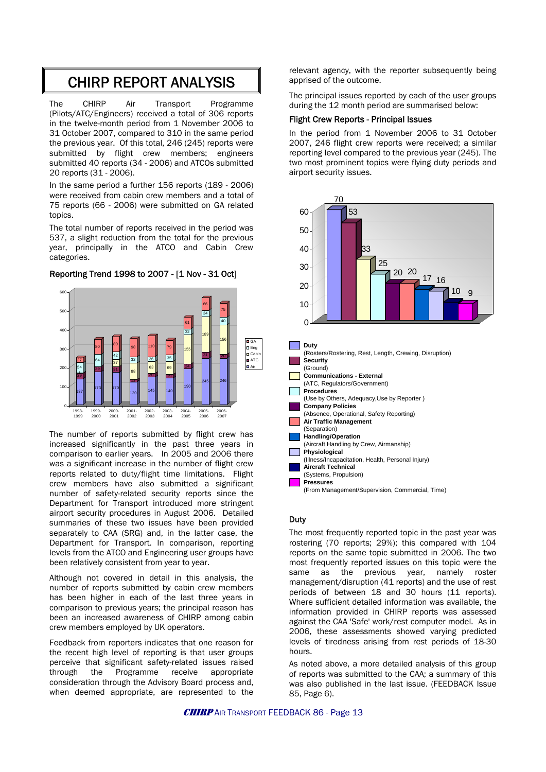## CHIRP REPORT ANALYSIS

The CHIRP Air Transport Programme (Pilots/ATC/Engineers) received a total of 306 reports in the twelve-month period from 1 November 2006 to 31 October 2007, compared to 310 in the same period the previous year. Of this total, 246 (245) reports were submitted by flight crew members; engineers submitted 40 reports (34 - 2006) and ATCOs submitted 20 reports (31 - 2006).

In the same period a further 156 reports (189 - 2006) were received from cabin crew members and a total of 75 reports (66 - 2006) were submitted on GA related topics.

The total number of reports received in the period was 537, a slight reduction from the total for the previous year, principally in the ATCO and Cabin Crew categories.



Reporting Trend 1998 to 2007 - [1 Nov - 31 Oct]

The number of reports submitted by flight crew has increased significantly in the past three years in comparison to earlier years. In 2005 and 2006 there was a significant increase in the number of flight crew reports related to duty/flight time limitations. Flight crew members have also submitted a significant number of safety-related security reports since the Department for Transport introduced more stringent airport security procedures in August 2006. Detailed summaries of these two issues have been provided separately to CAA (SRG) and, in the latter case, the Department for Transport. In comparison, reporting levels from the ATCO and Engineering user groups have been relatively consistent from year to year.

Although not covered in detail in this analysis, the number of reports submitted by cabin crew members has been higher in each of the last three years in comparison to previous years; the principal reason has been an increased awareness of CHIRP among cabin crew members employed by UK operators.

Feedback from reporters indicates that one reason for the recent high level of reporting is that user groups perceive that significant safety-related issues raised through the Programme receive appropriate consideration through the Advisory Board process and, when deemed appropriate, are represented to the

relevant agency, with the reporter subsequently being apprised of the outcome.

The principal issues reported by each of the user groups during the 12 month period are summarised below:

#### Flight Crew Reports - Principal Issues

In the period from 1 November 2006 to 31 October 2007, 246 flight crew reports were received; a similar reporting level compared to the previous year (245). The two most prominent topics were flying duty periods and airport security issues.



#### **Duty**

The most frequently reported topic in the past year was rostering (70 reports; 29%); this compared with 104 reports on the same topic submitted in 2006. The two most frequently reported issues on this topic were the same as the previous year, namely roster management/disruption (41 reports) and the use of rest periods of between 18 and 30 hours (11 reports). Where sufficient detailed information was available, the information provided in CHIRP reports was assessed against the CAA 'Safe' work/rest computer model. As in 2006, these assessments showed varying predicted levels of tiredness arising from rest periods of 18-30 hours.

As noted above, a more detailed analysis of this group of reports was submitted to the CAA; a summary of this was also published in the last issue. (FEEDBACK Issue 85, Page 6).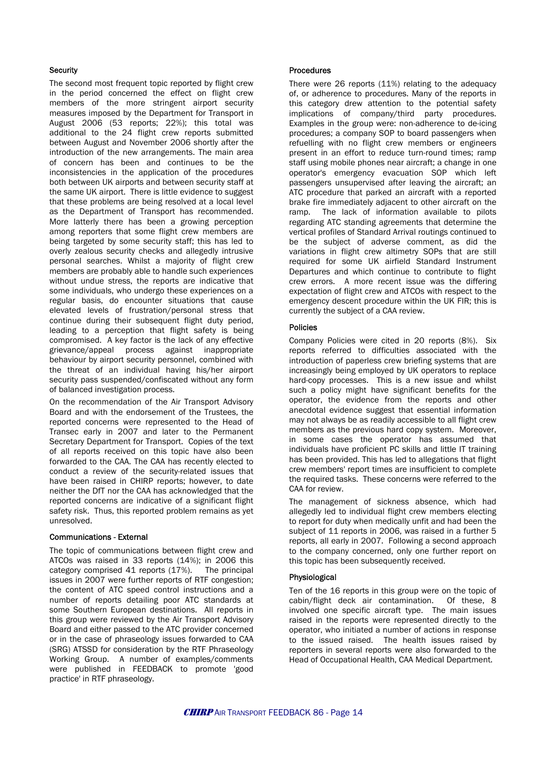#### **Security**

The second most frequent topic reported by flight crew in the period concerned the effect on flight crew members of the more stringent airport security measures imposed by the Department for Transport in August 2006 (53 reports; 22%); this total was additional to the 24 flight crew reports submitted between August and November 2006 shortly after the introduction of the new arrangements. The main area of concern has been and continues to be the inconsistencies in the application of the procedures both between UK airports and between security staff at the same UK airport. There is little evidence to suggest that these problems are being resolved at a local level as the Department of Transport has recommended. More latterly there has been a growing perception among reporters that some flight crew members are being targeted by some security staff; this has led to overly zealous security checks and allegedly intrusive personal searches. Whilst a majority of flight crew members are probably able to handle such experiences without undue stress, the reports are indicative that some individuals, who undergo these experiences on a regular basis, do encounter situations that cause elevated levels of frustration/personal stress that continue during their subsequent flight duty period, leading to a perception that flight safety is being compromised. A key factor is the lack of any effective grievance/appeal process against inappropriate behaviour by airport security personnel, combined with the threat of an individual having his/her airport security pass suspended/confiscated without any form of balanced investigation process.

On the recommendation of the Air Transport Advisory Board and with the endorsement of the Trustees, the reported concerns were represented to the Head of Transec early in 2007 and later to the Permanent Secretary Department for Transport. Copies of the text of all reports received on this topic have also been forwarded to the CAA. The CAA has recently elected to conduct a review of the security-related issues that have been raised in CHIRP reports; however, to date neither the DfT nor the CAA has acknowledged that the reported concerns are indicative of a significant flight safety risk. Thus, this reported problem remains as yet unresolved.

#### Communications - External

The topic of communications between flight crew and ATCOs was raised in 33 reports (14%); in 2006 this category comprised 41 reports (17%). The principal issues in 2007 were further reports of RTF congestion; the content of ATC speed control instructions and a number of reports detailing poor ATC standards at some Southern European destinations. All reports in this group were reviewed by the Air Transport Advisory Board and either passed to the ATC provider concerned or in the case of phraseology issues forwarded to CAA (SRG) ATSSD for consideration by the RTF Phraseology Working Group. A number of examples/comments were published in FEEDBACK to promote 'good practice' in RTF phraseology.

#### **Procedures**

There were 26 reports (11%) relating to the adequacy of, or adherence to procedures. Many of the reports in this category drew attention to the potential safety implications of company/third party procedures. Examples in the group were: non-adherence to de-icing procedures; a company SOP to board passengers when refuelling with no flight crew members or engineers present in an effort to reduce turn-round times; ramp staff using mobile phones near aircraft; a change in one operator's emergency evacuation SOP which left passengers unsupervised after leaving the aircraft; an ATC procedure that parked an aircraft with a reported brake fire immediately adjacent to other aircraft on the ramp. The lack of information available to pilots regarding ATC standing agreements that determine the vertical profiles of Standard Arrival routings continued to be the subject of adverse comment, as did the variations in flight crew altimetry SOPs that are still required for some UK airfield Standard Instrument Departures and which continue to contribute to flight crew errors. A more recent issue was the differing expectation of flight crew and ATCOs with respect to the emergency descent procedure within the UK FIR; this is currently the subject of a CAA review.

#### Policies

Company Policies were cited in 20 reports (8%). Six reports referred to difficulties associated with the introduction of paperless crew briefing systems that are increasingly being employed by UK operators to replace hard-copy processes. This is a new issue and whilst such a policy might have significant benefits for the operator, the evidence from the reports and other anecdotal evidence suggest that essential information may not always be as readily accessible to all flight crew members as the previous hard copy system. Moreover, in some cases the operator has assumed that individuals have proficient PC skills and little IT training has been provided. This has led to allegations that flight crew members' report times are insufficient to complete the required tasks. These concerns were referred to the CAA for review.

The management of sickness absence, which had allegedly led to individual flight crew members electing to report for duty when medically unfit and had been the subject of 11 reports in 2006, was raised in a further 5 reports, all early in 2007. Following a second approach to the company concerned, only one further report on this topic has been subsequently received.

#### Physiological

Ten of the 16 reports in this group were on the topic of cabin/flight deck air contamination. Of these, 8 involved one specific aircraft type. The main issues raised in the reports were represented directly to the operator, who initiated a number of actions in response to the issued raised. The health issues raised by reporters in several reports were also forwarded to the Head of Occupational Health, CAA Medical Department.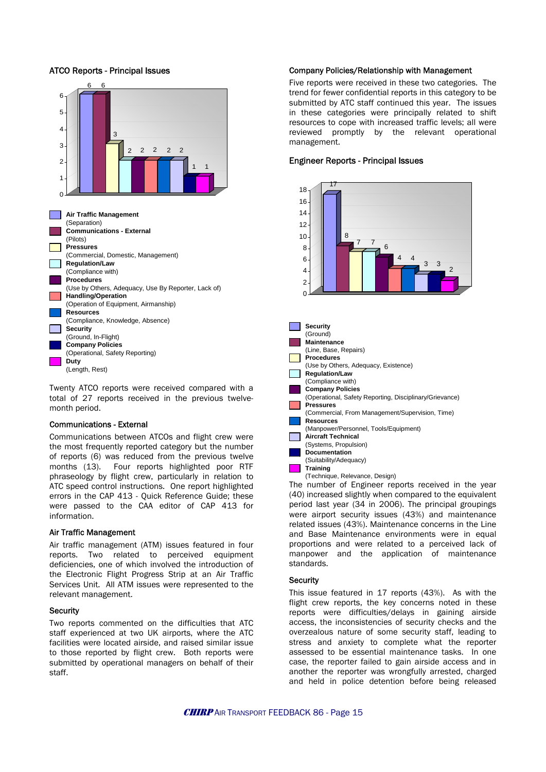

Twenty ATCO reports were received compared with a total of 27 reports received in the previous twelvemonth period.

#### Communications - External

Communications between ATCOs and flight crew were the most frequently reported category but the number of reports (6) was reduced from the previous twelve months (13). Four reports highlighted poor RTF phraseology by flight crew, particularly in relation to ATC speed control instructions. One report highlighted errors in the CAP 413 - Quick Reference Guide; these were passed to the CAA editor of CAP 413 for information.

#### Air Traffic Management

Air traffic management (ATM) issues featured in four reports. Two related to perceived equipment deficiencies, one of which involved the introduction of the Electronic Flight Progress Strip at an Air Traffic Services Unit. All ATM issues were represented to the relevant management.

#### **Security**

Two reports commented on the difficulties that ATC staff experienced at two UK airports, where the ATC facilities were located airside, and raised similar issue to those reported by flight crew. Both reports were submitted by operational managers on behalf of their staff.

#### Company Policies/Relationship with Management

Five reports were received in these two categories. The trend for fewer confidential reports in this category to be submitted by ATC staff continued this year. The issues in these categories were principally related to shift resources to cope with increased traffic levels; all were reviewed promptly by the relevant operational management.

#### Engineer Reports - Principal Issues



The number of Engineer reports received in the year (40) increased slightly when compared to the equivalent period last year (34 in 2006). The principal groupings were airport security issues (43%) and maintenance related issues (43%). Maintenance concerns in the Line and Base Maintenance environments were in equal proportions and were related to a perceived lack of manpower and the application of maintenance standards.

#### **Security**

This issue featured in 17 reports (43%). As with the flight crew reports, the key concerns noted in these reports were difficulties/delays in gaining airside access, the inconsistencies of security checks and the overzealous nature of some security staff, leading to stress and anxiety to complete what the reporter assessed to be essential maintenance tasks. In one case, the reporter failed to gain airside access and in another the reporter was wrongfully arrested, charged and held in police detention before being released